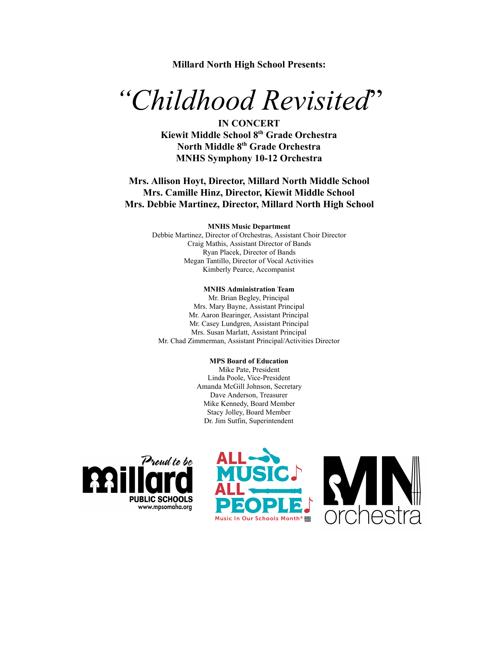**Millard North High School Presents:**

# *"Childhood Revisited* "

**IN CONCERT Kiewit Middle School 8th Grade Orchestra North Middle 8 th Grade Orchestra MNHS Symphony 10-12 Orchestra** 

# **Mrs. Allison Hoyt, Director, Millard North Middle School Mrs. Camille Hinz, Director, Kiewit Middle School Mrs. Debbie Martinez, Director, Millard North High School**

#### **MNHS Music Department**

Debbie Martinez, Director of Orchestras, Assistant Choir Director Craig Mathis, Assistant Director of Bands Ryan Placek, Director of Bands Megan Tantillo, Director of Vocal Activities Kimberly Pearce, Accompanist

#### **MNHS Administration Team**

Mr. Brian Begley, Principal Mrs. Mary Bayne, Assistant Principal Mr. Aaron Bearinger, Assistant Principal Mr. Casey Lundgren, Assistant Principal Mrs. Susan Marlatt, Assistant Principal Mr. Chad Zimmerman, Assistant Principal/Activities Director

#### **MPS Board of Education**

Mike Pate, President Linda Poole, Vice-President Amanda McGill Johnson, Secretary Dave Anderson, Treasurer Mike Kennedy, Board Member Stacy Jolley, Board Member Dr. Jim Sutfin, Superintendent





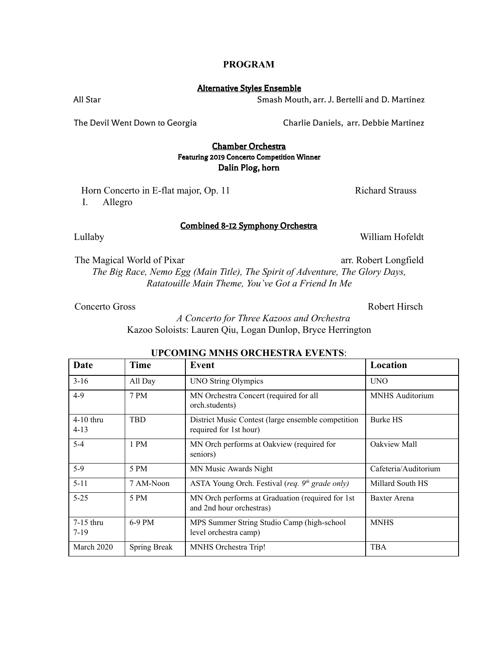### **PROGRAM**

#### Alternative Styles Ensemble

All Star Smash Mouth, arr. J. Bertelli and D. Martinez

The Devil Went Down to Georgia Charlie Daniels, arr. Debbie Martinez

# Chamber Orchestra Featuring 2019 Concerto Competition Winner Dalin Plog, horn

Combined 8-12 Symphony Orchestra

Horn Concerto in E-flat major, Op. 11 Richard Strauss I. Allegro

Lullaby William Hofeldt

The Magical World of Pixar arr. Robert Longfield

*The Big Race, Nemo Egg (Main Title), The Spirit of Adventure, The Glory Days, Ratatouille Main Theme, You've Got a Friend In Me*

Concerto Gross Robert Hirsch

*A Concerto for Three Kazoos and Orchestra* Kazoo Soloists: Lauren Qiu, Logan Dunlop, Bryce Herrington

| Date                    | <b>Time</b>  | Event                                                                        | Location               |
|-------------------------|--------------|------------------------------------------------------------------------------|------------------------|
| $3 - 16$                | All Day      | <b>UNO String Olympics</b>                                                   | <b>UNO</b>             |
| $4-9$                   | 7 PM         | MN Orchestra Concert (required for all<br>orch.students)                     | <b>MNHS</b> Auditorium |
| $4-10$ thru<br>$4 - 13$ | <b>TBD</b>   | District Music Contest (large ensemble competition<br>required for 1st hour) | Burke HS               |
| $5-4$                   | 1 PM         | MN Orch performs at Oakview (required for<br>seniors)                        | Oakview Mall           |
| 5-9                     | 5 PM         | MN Music Awards Night                                                        | Cafeteria/Auditorium   |
| $5 - 11$                | 7 AM-Noon    | ASTA Young Orch. Festival (req. $9th$ grade only)                            | Millard South HS       |
| $5 - 25$                | 5 PM         | MN Orch performs at Graduation (required for 1st<br>and 2nd hour orchestras) | Baxter Arena           |
| $7-15$ thru<br>$7 - 19$ | 6-9 PM       | MPS Summer String Studio Camp (high-school<br>level orchestra camp)          | <b>MNHS</b>            |
| March 2020              | Spring Break | MNHS Orchestra Trip!                                                         | <b>TBA</b>             |

# **UPCOMING MNHS ORCHESTRA EVENTS:**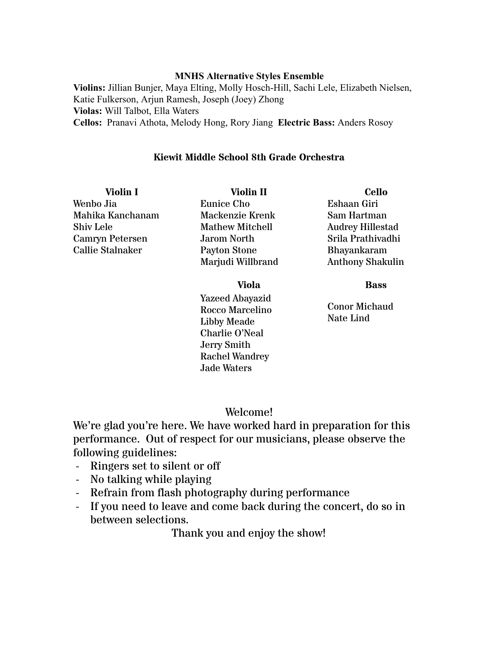# **MNHS Alternative Styles Ensemble**

Violins: Jillian Bunjer, Maya Elting, Molly Hosch-Hill, Sachi Lele, Elizabeth Nielsen, Katie Fulkerson, Arjun Ramesh, Joseph (Joey) Zhong **Violas:** Will Talbot, Ella Waters **Cellos:**  Pranavi Athota, Melody Hong, Rory Jiang **Electric Bass:** Anders Rosoy

# **Kiewit Middle School 8th Grade Orchestra**

**Violin I** Wenbo Jia Mahika Kanchanam Shiv Lele Camryn Petersen Callie Stalnaker

**Violin II** Eunice Cho Mackenzie Krenk Mathew Mitchell Jarom North Payton Stone Marjudi Willbrand

**Cello** Eshaan Giri Sam Hartman Audrey Hillestad Srila Prathivadhi Bhayankaram Anthony Shakulin

**Bass**

Conor Michaud Nate Lind

# **Viola**

Yazeed Abayazid Rocco Marcelino Libby Meade Charlie O'Neal Jerry Smith Rachel Wandrey Jade Waters

# Welcome!

We're glad you're here. We have worked hard in preparation for this performance. Out of respect for our musicians, please observe the following guidelines:

- Ringers set to silent or off
- No talking while playing
- Refrain from flash photography during performance
- If you need to leave and come back during the concert, do so in between selections.

Thank you and enjoy the show!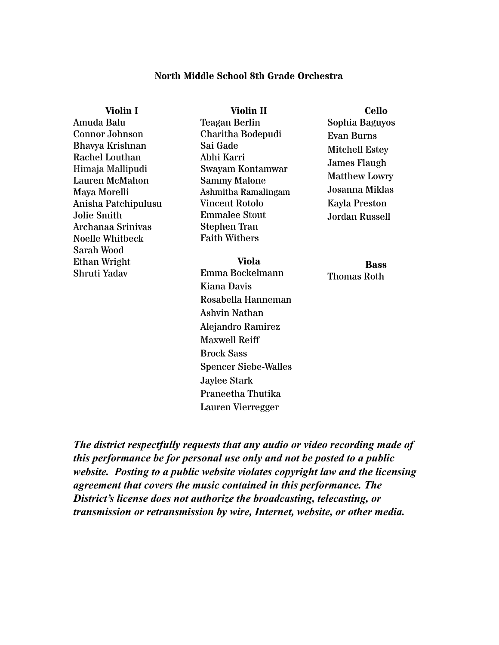# **North Middle School 8th Grade Orchestra**

| Violin I                                                                                               | Violin II                                                                                                                       | <b>Cello</b>                                                                       |
|--------------------------------------------------------------------------------------------------------|---------------------------------------------------------------------------------------------------------------------------------|------------------------------------------------------------------------------------|
| Amuda Balu                                                                                             | Teagan Berlin                                                                                                                   | Sophia Baguyos                                                                     |
| <b>Connor Johnson</b>                                                                                  | Charitha Bodepudi                                                                                                               | Evan Burns                                                                         |
| Bhavya Krishnan<br>Rachel Louthan                                                                      | Sai Gade<br>Abhi Karri                                                                                                          | Mitchell Estey                                                                     |
| Himaja Mallipudi<br><b>Lauren McMahon</b><br>Maya Morelli<br>Anisha Patchipulusu<br><b>Jolie Smith</b> | Swayam Kontamwar<br><b>Sammy Malone</b><br>Ashmitha Ramalingam<br><b>Vincent Rotolo</b><br><b>Emmalee Stout</b><br>Stephen Tran | James Flaugh<br>Matthew Lowry<br>Josanna Miklas<br>Kayla Preston<br>Jordan Russell |
| Archanaa Srinivas<br><b>Noelle Whitbeck</b><br><b>Sarah Wood</b>                                       | <b>Faith Withers</b>                                                                                                            |                                                                                    |
| Ethan Wright<br>Shruti Yadav                                                                           | <b>Viola</b><br>Emma Bockelmann<br>Kiana Davis                                                                                  | <b>Bass</b><br><b>Thomas Roth</b>                                                  |
|                                                                                                        | Rosabella Hanneman<br>Ashvin Nathan<br>Alejandro Ramirez<br><b>Maxwell Reiff</b>                                                |                                                                                    |
|                                                                                                        | <b>Brock Sass</b>                                                                                                               |                                                                                    |

*The district respectfully requests that any audio or video recording made of this performance be for personal use only and not be posted to a public website. Posting to a public website violates copyright law and the licensing agreement that covers the music contained in this performance. The District's license does not authorize the broadcasting, telecasting, or transmission or retransmission by wire, Internet, website, or other media.*

Spencer Siebe-Walles

Praneetha Thutika Lauren Vierregger

Jaylee Stark

### **Bass** oth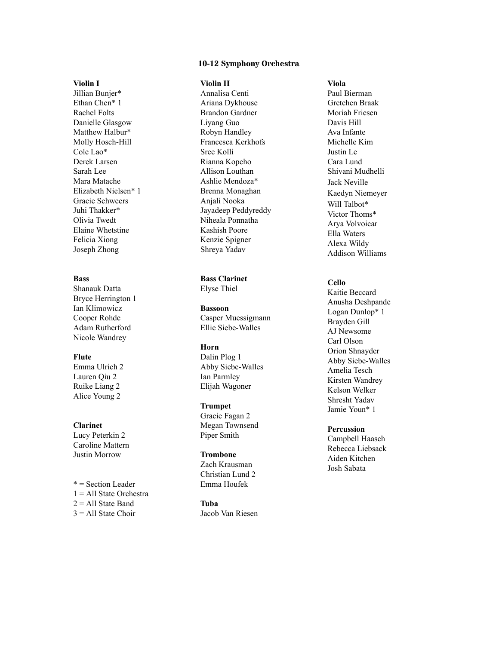#### **1 0 - 1 2 S ym p h o n y O r c h e s t r a**

#### **Vi o l i n I**

Jillian Bunjer\* Ethan Chen\* 1 Rachel Folts Danielle Glasgow Matthew Halbur\* Molly Hosch-Hill Cole Lao\* Derek Larsen Sarah Lee Mara Matache Elizabeth Nielsen\* 1 Gracie Schweers Juhi Thakker\* Olivia Twedt Elaine Whetstine Felicia Xiong Joseph Zhong

#### **B a s s**

Shanauk Datta Bryce Herrington 1 Ian Klimowicz Cooper Rohde Adam Rutherford Nicole Wandrey

#### **F l u t e**

Emma Ulrich 2 Lauren Qiu 2 Ruike Liang 2 Alice Young 2

#### **C l a r i n e t**

Lucy Peterkin 2 Caroline Mattern Justin Morrow

\* = Section Leader 1 = All State Orchestra 2 = All State Band  $3 =$  All State Choir

#### **Vi o l i n I I**

Annalisa Centi Ariana Dykhouse Brandon Gardner Liyang Guo Robyn Handley Francesca Kerkhofs Sree Kolli Rianna Kopcho Allison Louthan Ashlie Mendoza\* Brenna Monaghan Anjali Nooka Jayadeep Peddyreddy Niheala Ponnatha Kashish Poore Kenzie Spigner Shreya Yadav

# **Bass Clarinet**

Elyse Thiel

Bassoon Casper Muessigmann Ellie Siebe-Walles

#### **H o r n**

Dalin Plog 1 Abby Siebe-Walles Ian Parmley Elijah Wagoner

#### **Trumpet**

Gracie Fagan 2 Megan Townsend Piper Smith

#### **Tr o m b o n e**

Zach Krausman Christian Lund 2 E m m a H o u fe k

**Tu b a** Jacob Van Riesen

#### **Vi o l a**

Paul Bierman Gretchen Braak Moriah Friesen Davis Hill Ava Infante Michelle Kim Justin Le Cara Lund Shivani Mudhelli Jack Neville Kaedyn Niemeyer Will Talbot\* Victor Thoms\* Arya Volvoicar Ella Waters Alexa Wildy Addison Williams

#### **C e l l o**

Kaitie Beccard Anusha Deshpande Logan Dunlop\* 1 Brayden Gill AJ Newsome Carl Olson Orion Shnayder Abby Siebe-Walles Amelia Tesch Kirsten Wandrey Kelson Welker Shresht Yadav Jamie Youn\* 1

#### **Percussion**

Campbell Haasch Rebecca Liebsack Aiden Kitchen Josh Sabata